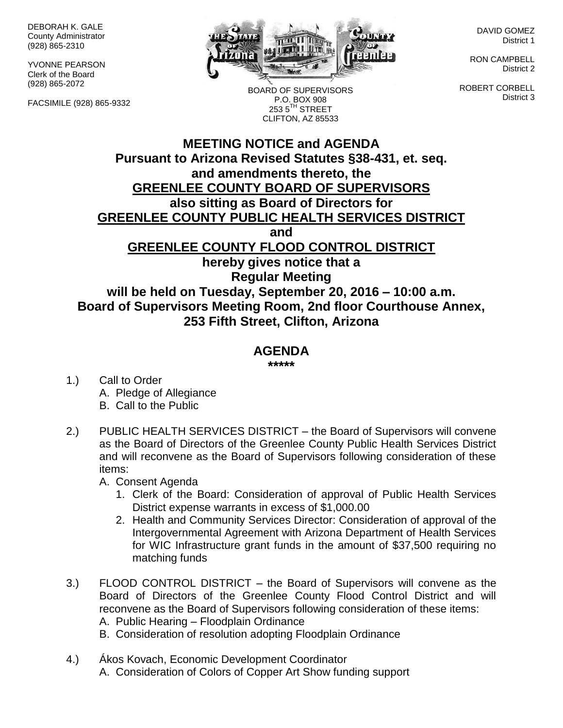DEBORAH K. GALE County Administrator (928) 865-2310

YVONNE PEARSON Clerk of the Board (928) 865-2072

FACSIMILE (928) 865-9332



BOARD OF SUPERVISORS P.O. BOX 908  $2535$ <sup>TH</sup> STREET CLIFTON, AZ 85533

DAVID GOMEZ District 1

RON CAMPBELL District 2

ROBERT CORBELL District 3

## **MEETING NOTICE and AGENDA Pursuant to Arizona Revised Statutes §38-431, et. seq. and amendments thereto, the GREENLEE COUNTY BOARD OF SUPERVISORS also sitting as Board of Directors for GREENLEE COUNTY PUBLIC HEALTH SERVICES DISTRICT and GREENLEE COUNTY FLOOD CONTROL DISTRICT hereby gives notice that a Regular Meeting will be held on Tuesday, September 20, 2016 – 10:00 a.m. Board of Supervisors Meeting Room, 2nd floor Courthouse Annex, 253 Fifth Street, Clifton, Arizona**

## **AGENDA**

**\*\*\*\*\***

- 1.) Call to Order A. Pledge of Allegiance B. Call to the Public
- 2.) PUBLIC HEALTH SERVICES DISTRICT the Board of Supervisors will convene as the Board of Directors of the Greenlee County Public Health Services District and will reconvene as the Board of Supervisors following consideration of these items:
	- A. Consent Agenda
		- 1. Clerk of the Board: Consideration of approval of Public Health Services District expense warrants in excess of \$1,000.00
		- 2. Health and Community Services Director: Consideration of approval of the Intergovernmental Agreement with Arizona Department of Health Services for WIC Infrastructure grant funds in the amount of \$37,500 requiring no matching funds
- 3.) FLOOD CONTROL DISTRICT the Board of Supervisors will convene as the Board of Directors of the Greenlee County Flood Control District and will reconvene as the Board of Supervisors following consideration of these items:
	- A. Public Hearing Floodplain Ordinance
	- B. Consideration of resolution adopting Floodplain Ordinance
- 4.) Ákos Kovach, Economic Development Coordinator A. Consideration of Colors of Copper Art Show funding support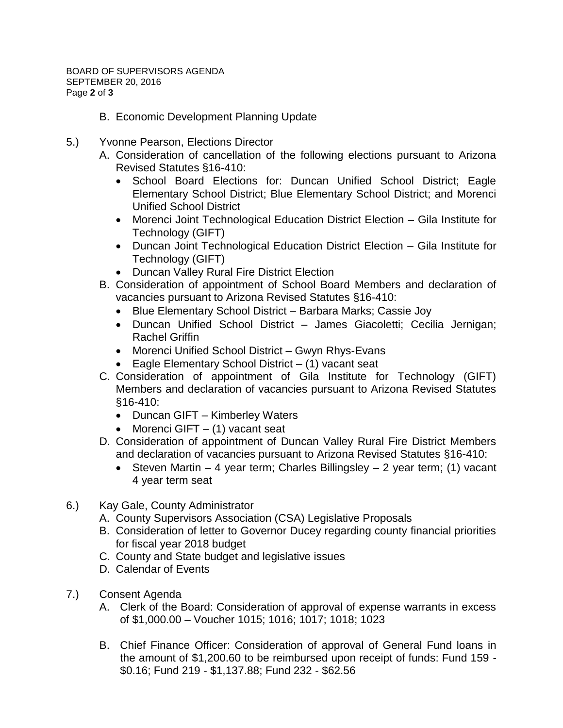- B. Economic Development Planning Update
- 5.) Yvonne Pearson, Elections Director
	- A. Consideration of cancellation of the following elections pursuant to Arizona Revised Statutes §16-410:
		- School Board Elections for: Duncan Unified School District; Eagle Elementary School District; Blue Elementary School District; and Morenci Unified School District
		- Morenci Joint Technological Education District Election Gila Institute for Technology (GIFT)
		- Duncan Joint Technological Education District Election Gila Institute for Technology (GIFT)
		- Duncan Valley Rural Fire District Election
	- B. Consideration of appointment of School Board Members and declaration of vacancies pursuant to Arizona Revised Statutes §16-410:
		- Blue Elementary School District Barbara Marks; Cassie Joy
		- Duncan Unified School District James Giacoletti; Cecilia Jernigan; Rachel Griffin
		- Morenci Unified School District Gwyn Rhys-Evans
		- $\bullet$  Eagle Elementary School District  $-$  (1) vacant seat
	- C. Consideration of appointment of Gila Institute for Technology (GIFT) Members and declaration of vacancies pursuant to Arizona Revised Statutes §16-410:
		- Duncan GIFT Kimberley Waters
		- Morenci GIFT  $-$  (1) vacant seat
	- D. Consideration of appointment of Duncan Valley Rural Fire District Members and declaration of vacancies pursuant to Arizona Revised Statutes §16-410:
		- Steven Martin 4 year term; Charles Billingsley 2 year term; (1) vacant 4 year term seat
- 6.) Kay Gale, County Administrator
	- A. County Supervisors Association (CSA) Legislative Proposals
	- B. Consideration of letter to Governor Ducey regarding county financial priorities for fiscal year 2018 budget
	- C. County and State budget and legislative issues
	- D. Calendar of Events
- 7.) Consent Agenda
	- A. Clerk of the Board: Consideration of approval of expense warrants in excess of \$1,000.00 – Voucher 1015; 1016; 1017; 1018; 1023
	- B. Chief Finance Officer: Consideration of approval of General Fund loans in the amount of \$1,200.60 to be reimbursed upon receipt of funds: Fund 159 - \$0.16; Fund 219 - \$1,137.88; Fund 232 - \$62.56